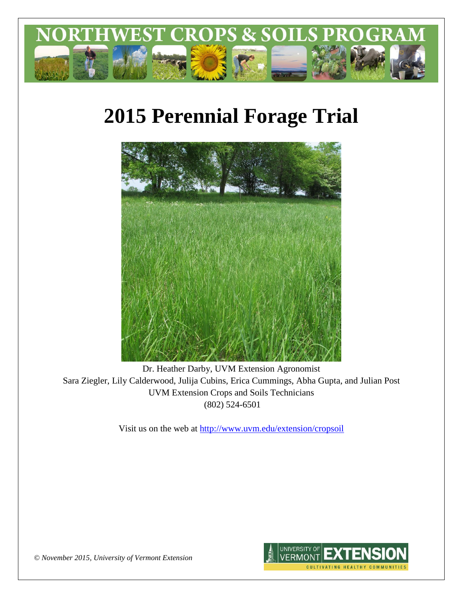

# **2015 Perennial Forage Trial**



Dr. Heather Darby, UVM Extension Agronomist Sara Ziegler, Lily Calderwood, Julija Cubins, Erica Cummings, Abha Gupta, and Julian Post UVM Extension Crops and Soils Technicians (802) 524-6501

Visit us on the web at <http://www.uvm.edu/extension/cropsoil>



*© November 2015, University of Vermont Extension*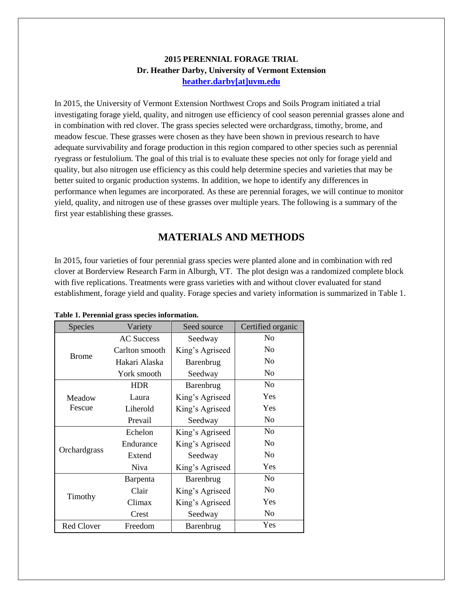## **2015 PERENNIAL FORAGE TRIAL Dr. Heather Darby, University of Vermont Extension [heather.darby\[at\]uvm.edu](mailto:heather.darby@uvm.edu?subject=2013%20Long%20Season%20Corn%20Report)**

In 2015, the University of Vermont Extension Northwest Crops and Soils Program initiated a trial investigating forage yield, quality, and nitrogen use efficiency of cool season perennial grasses alone and in combination with red clover. The grass species selected were orchardgrass, timothy, brome, and meadow fescue. These grasses were chosen as they have been shown in previous research to have adequate survivability and forage production in this region compared to other species such as perennial ryegrass or festulolium. The goal of this trial is to evaluate these species not only for forage yield and quality, but also nitrogen use efficiency as this could help determine species and varieties that may be better suited to organic production systems. In addition, we hope to identify any differences in performance when legumes are incorporated. As these are perennial forages, we will continue to monitor yield, quality, and nitrogen use of these grasses over multiple years. The following is a summary of the first year establishing these grasses.

## **MATERIALS AND METHODS**

In 2015, four varieties of four perennial grass species were planted alone and in combination with red clover at Borderview Research Farm in Alburgh, VT. The plot design was a randomized complete block with five replications. Treatments were grass varieties with and without clover evaluated for stand establishment, forage yield and quality. Forage species and variety information is summarized in Table 1.

| Species           | Variety           | Seed source     | Certified organic |
|-------------------|-------------------|-----------------|-------------------|
|                   | <b>AC Success</b> | Seedway         | N <sub>0</sub>    |
| <b>Brome</b>      | Carlton smooth    | King's Agriseed | No                |
|                   | Hakari Alaska     | Barenbrug       | N <sub>0</sub>    |
|                   | York smooth       | Seedway         | No                |
|                   | <b>HDR</b>        | Barenbrug       | N <sub>0</sub>    |
| Meadow            | Laura             | King's Agriseed | Yes               |
| Fescue            | Liherold          | King's Agriseed | Yes               |
|                   | Prevail           | Seedway         | No                |
|                   | Echelon           | King's Agriseed | N <sub>0</sub>    |
|                   | Endurance         | King's Agriseed | No                |
| Orchardgrass      | Extend            | Seedway         | N <sub>0</sub>    |
|                   | <b>Niva</b>       | King's Agriseed | Yes               |
| Timothy           | Barpenta          | Barenbrug       | No                |
|                   | Clair             | King's Agriseed | N <sub>0</sub>    |
|                   | Climax            | King's Agriseed | Yes               |
|                   | Crest             | Seedway         | N <sub>0</sub>    |
| <b>Red Clover</b> | Freedom           | Barenbrug       | Yes               |

**Table 1. Perennial grass species information.**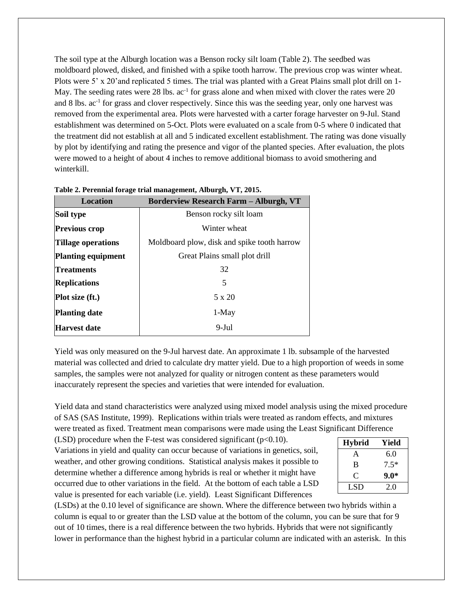The soil type at the Alburgh location was a Benson rocky silt loam (Table 2). The seedbed was moldboard plowed, disked, and finished with a spike tooth harrow. The previous crop was winter wheat. Plots were 5' x 20'and replicated 5 times. The trial was planted with a Great Plains small plot drill on 1- May. The seeding rates were 28 lbs. ac<sup>-1</sup> for grass alone and when mixed with clover the rates were 20 and 8 lbs. ac<sup>-1</sup> for grass and clover respectively. Since this was the seeding year, only one harvest was removed from the experimental area. Plots were harvested with a carter forage harvester on 9-Jul. Stand establishment was determined on 5-Oct. Plots were evaluated on a scale from 0-5 where 0 indicated that the treatment did not establish at all and 5 indicated excellent establishment. The rating was done visually by plot by identifying and rating the presence and vigor of the planted species. After evaluation, the plots were mowed to a height of about 4 inches to remove additional biomass to avoid smothering and winterkill.

| 1 aprc 21 1 chemiai 191 age triai management, mpargn, + 1, 2010; |                                               |  |  |  |  |
|------------------------------------------------------------------|-----------------------------------------------|--|--|--|--|
| <b>Location</b>                                                  | <b>Borderview Research Farm – Alburgh, VT</b> |  |  |  |  |
| Soil type                                                        | Benson rocky silt loam                        |  |  |  |  |
| <b>Previous crop</b>                                             | Winter wheat                                  |  |  |  |  |
| <b>Tillage operations</b>                                        | Moldboard plow, disk and spike tooth harrow   |  |  |  |  |
| <b>Planting equipment</b>                                        | Great Plains small plot drill                 |  |  |  |  |
| <b>Treatments</b>                                                | 32                                            |  |  |  |  |
| <b>Replications</b>                                              | 5                                             |  |  |  |  |
| Plot size (ft.)                                                  | 5 x 20                                        |  |  |  |  |
| <b>Planting date</b>                                             | 1-May                                         |  |  |  |  |
| <b>Harvest date</b>                                              | $9-Jul$                                       |  |  |  |  |

**Table 2. Perennial forage trial management, Alburgh, VT, 2015.**

Yield was only measured on the 9-Jul harvest date. An approximate 1 lb. subsample of the harvested material was collected and dried to calculate dry matter yield. Due to a high proportion of weeds in some samples, the samples were not analyzed for quality or nitrogen content as these parameters would inaccurately represent the species and varieties that were intended for evaluation.

Yield data and stand characteristics were analyzed using mixed model analysis using the mixed procedure of SAS (SAS Institute, 1999). Replications within trials were treated as random effects, and mixtures were treated as fixed. Treatment mean comparisons were made using the Least Significant Difference

(LSD) procedure when the F-test was considered significant ( $p<0.10$ ). Variations in yield and quality can occur because of variations in genetics, soil, weather, and other growing conditions. Statistical analysis makes it possible to determine whether a difference among hybrids is real or whether it might have occurred due to other variations in the field. At the bottom of each table a LSD value is presented for each variable (i.e. yield). Least Significant Differences

| <b>Hybrid</b> | Yield  |  |  |
|---------------|--------|--|--|
| А             | 6.0    |  |  |
| B             | $7.5*$ |  |  |
| $\mathbf C$   | $9.0*$ |  |  |
| LSD           | 2.0    |  |  |

(LSDs) at the 0.10 level of significance are shown. Where the difference between two hybrids within a column is equal to or greater than the LSD value at the bottom of the column, you can be sure that for 9 out of 10 times, there is a real difference between the two hybrids. Hybrids that were not significantly lower in performance than the highest hybrid in a particular column are indicated with an asterisk. In this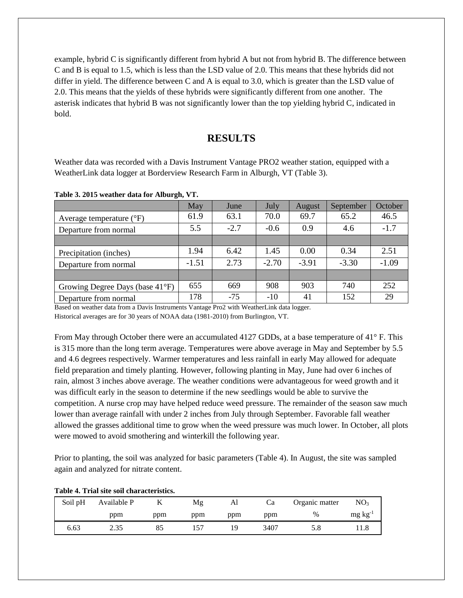example, hybrid C is significantly different from hybrid A but not from hybrid B. The difference between C and B is equal to 1.5, which is less than the LSD value of 2.0. This means that these hybrids did not differ in yield. The difference between C and A is equal to 3.0, which is greater than the LSD value of 2.0. This means that the yields of these hybrids were significantly different from one another. The asterisk indicates that hybrid B was not significantly lower than the top yielding hybrid C, indicated in bold.

## **RESULTS**

Weather data was recorded with a Davis Instrument Vantage PRO2 weather station, equipped with a WeatherLink data logger at Borderview Research Farm in Alburgh, VT (Table 3).

|                                   | May     | June   | July    | August  | September | October |
|-----------------------------------|---------|--------|---------|---------|-----------|---------|
| Average temperature $(^{\circ}F)$ | 61.9    | 63.1   | 70.0    | 69.7    | 65.2      | 46.5    |
| Departure from normal             | 5.5     | $-2.7$ | $-0.6$  | 0.9     | 4.6       | $-1.7$  |
|                                   |         |        |         |         |           |         |
| Precipitation (inches)            | 1.94    | 6.42   | 1.45    | 0.00    | 0.34      | 2.51    |
| Departure from normal             | $-1.51$ | 2.73   | $-2.70$ | $-3.91$ | $-3.30$   | $-1.09$ |
|                                   |         |        |         |         |           |         |
| Growing Degree Days (base 41°F)   | 655     | 669    | 908     | 903     | 740       | 252     |
| Departure from normal             | 178     | $-75$  | $-10$   | 41      | 152       | 29      |

**Table 3. 2015 weather data for Alburgh, VT.**

Based on weather data from a Davis Instruments Vantage Pro2 with WeatherLink data logger.

Historical averages are for 30 years of NOAA data (1981-2010) from Burlington, VT.

From May through October there were an accumulated 4127 GDDs, at a base temperature of 41° F. This is 315 more than the long term average. Temperatures were above average in May and September by 5.5 and 4.6 degrees respectively. Warmer temperatures and less rainfall in early May allowed for adequate field preparation and timely planting. However, following planting in May, June had over 6 inches of rain, almost 3 inches above average. The weather conditions were advantageous for weed growth and it was difficult early in the season to determine if the new seedlings would be able to survive the competition. A nurse crop may have helped reduce weed pressure. The remainder of the season saw much lower than average rainfall with under 2 inches from July through September. Favorable fall weather allowed the grasses additional time to grow when the weed pressure was much lower. In October, all plots were mowed to avoid smothering and winterkill the following year.

Prior to planting, the soil was analyzed for basic parameters (Table 4). In August, the site was sampled again and analyzed for nitrate content.

|         | Table 4. That site sun characteristics. |     |     |     |      |                |                 |
|---------|-----------------------------------------|-----|-----|-----|------|----------------|-----------------|
| Soil pH | Available P                             |     | Mg  | Al  | Ca   | Organic matter | NO <sub>3</sub> |
|         | ppm                                     | ppm | ppm | ppm | ppm  | $\%$           | $mg \, kg^{-1}$ |
| 6.63    | 2.35                                    | 85  |     | 1 Q | 3407 |                |                 |

#### **Table 4. Trial site soil characteristics.**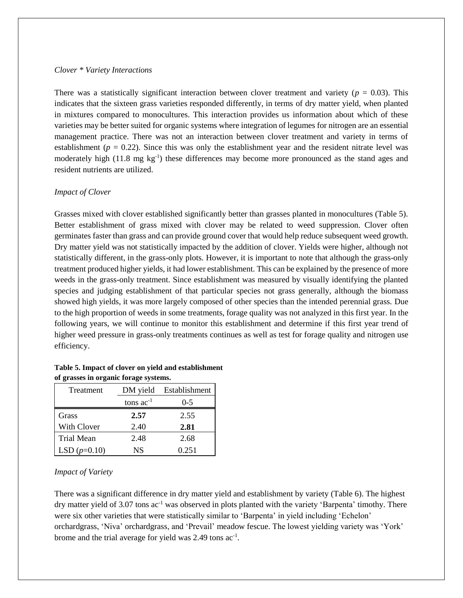#### *Clover \* Variety Interactions*

There was a statistically significant interaction between clover treatment and variety ( $p = 0.03$ ). This indicates that the sixteen grass varieties responded differently, in terms of dry matter yield, when planted in mixtures compared to monocultures. This interaction provides us information about which of these varieties may be better suited for organic systems where integration of legumes for nitrogen are an essential management practice. There was not an interaction between clover treatment and variety in terms of establishment ( $p = 0.22$ ). Since this was only the establishment year and the resident nitrate level was moderately high (11.8 mg kg<sup>-1</sup>) these differences may become more pronounced as the stand ages and resident nutrients are utilized.

#### *Impact of Clover*

Grasses mixed with clover established significantly better than grasses planted in monocultures (Table 5). Better establishment of grass mixed with clover may be related to weed suppression. Clover often germinates faster than grass and can provide ground cover that would help reduce subsequent weed growth. Dry matter yield was not statistically impacted by the addition of clover. Yields were higher, although not statistically different, in the grass-only plots. However, it is important to note that although the grass-only treatment produced higher yields, it had lower establishment. This can be explained by the presence of more weeds in the grass-only treatment. Since establishment was measured by visually identifying the planted species and judging establishment of that particular species not grass generally, although the biomass showed high yields, it was more largely composed of other species than the intended perennial grass. Due to the high proportion of weeds in some treatments, forage quality was not analyzed in this first year. In the following years, we will continue to monitor this establishment and determine if this first year trend of higher weed pressure in grass-only treatments continues as well as test for forage quality and nitrogen use efficiency.

#### **Table 5. Impact of clover on yield and establishment of grasses in organic forage systems.**

| Treatment         | DM yield       | Establishment |  |
|-------------------|----------------|---------------|--|
|                   | tons $ac^{-1}$ | $0-5$         |  |
| Grass             | 2.57           | 2.55          |  |
| With Clover       | 2.40           | 2.81          |  |
| <b>Trial Mean</b> | 2.48           | 2.68          |  |
| LSD $(p=0.10)$    | NS             | 0.251         |  |

#### *Impact of Variety*

There was a significant difference in dry matter yield and establishment by variety (Table 6). The highest dry matter yield of 3.07 tons ac-1 was observed in plots planted with the variety 'Barpenta' timothy. There were six other varieties that were statistically similar to 'Barpenta' in yield including 'Echelon' orchardgrass, 'Niva' orchardgrass, and 'Prevail' meadow fescue. The lowest yielding variety was 'York' brome and the trial average for yield was 2.49 tons ac<sup>-1</sup>.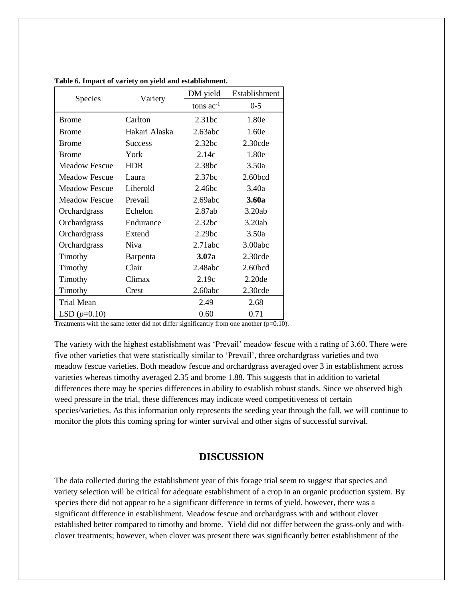|                      |                | DM yield       | Establishment |  |
|----------------------|----------------|----------------|---------------|--|
| <b>Species</b>       | Variety        | tons $ac^{-1}$ | $0 - 5$       |  |
| <b>Brome</b>         | Carlton        | 2.31bc         | 1.80e         |  |
| <b>Brome</b>         | Hakari Alaska  | 2.63abc        | 1.60e         |  |
| <b>Brome</b>         | <b>Success</b> | 2.32bc         | $2.30$ cde    |  |
| <b>Brome</b>         | York           | 2.14c          | 1.80e         |  |
| <b>Meadow Fescue</b> | <b>HDR</b>     | 2.38bc         | 3.50a         |  |
| <b>Meadow Fescue</b> | Laura          | 2.37bc         | 2.60bcd       |  |
| <b>Meadow Fescue</b> | Liherold       | 2.46bc         | 3.40a         |  |
| <b>Meadow Fescue</b> | Prevail        | 2.69abc        | 3.60a         |  |
| Orchardgrass         | Echelon        | 2.87ab         | 3.20ab        |  |
| Orchardgrass         | Endurance      | 2.32bc         | 3.20ab        |  |
| Orchardgrass         | Extend         | 2.29bc         | 3.50a         |  |
| Orchardgrass         | Niva           | 2.71abc        | 3.00abc       |  |
| Timothy              | Barpenta       | 3.07a          | 2.30cde       |  |
| Timothy              | Clair          | 2.48abc        | 2.60bcd       |  |
| Timothy              | Climax         | 2.19c          | 2.20de        |  |
| Timothy              | Crest          | 2.60abc        | 2.30cde       |  |
| <b>Trial Mean</b>    |                | 2.49           | 2.68          |  |
| LSD $(p=0.10)$       |                | 0.60           | 0.71          |  |

**Table 6. Impact of variety on yield and establishment.**

Treatments with the same letter did not differ significantly from one another  $(p=0.10)$ .

The variety with the highest establishment was 'Prevail' meadow fescue with a rating of 3.60. There were five other varieties that were statistically similar to 'Prevail', three orchardgrass varieties and two meadow fescue varieties. Both meadow fescue and orchardgrass averaged over 3 in establishment across varieties whereas timothy averaged 2.35 and brome 1.88. This suggests that in addition to varietal differences there may be species differences in ability to establish robust stands. Since we observed high weed pressure in the trial, these differences may indicate weed competitiveness of certain species/varieties. As this information only represents the seeding year through the fall, we will continue to monitor the plots this coming spring for winter survival and other signs of successful survival.

### **DISCUSSION**

The data collected during the establishment year of this forage trial seem to suggest that species and variety selection will be critical for adequate establishment of a crop in an organic production system. By species there did not appear to be a significant difference in terms of yield, however, there was a significant difference in establishment. Meadow fescue and orchardgrass with and without clover established better compared to timothy and brome. Yield did not differ between the grass-only and withclover treatments; however, when clover was present there was significantly better establishment of the